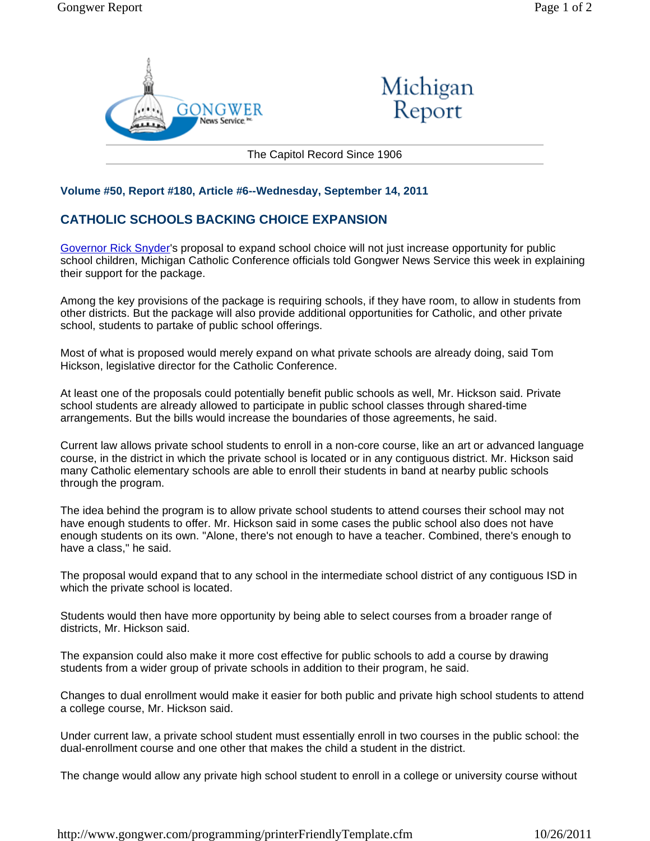



The Capitol Record Since 1906

## **Volume #50, Report #180, Article #6--Wednesday, September 14, 2011**

## **CATHOLIC SCHOOLS BACKING CHOICE EXPANSION**

Governor Rick Snyder's proposal to expand school choice will not just increase opportunity for public school children, Michigan Catholic Conference officials told Gongwer News Service this week in explaining their support for the package.

Among the key provisions of the package is requiring schools, if they have room, to allow in students from other districts. But the package will also provide additional opportunities for Catholic, and other private school, students to partake of public school offerings.

Most of what is proposed would merely expand on what private schools are already doing, said Tom Hickson, legislative director for the Catholic Conference.

At least one of the proposals could potentially benefit public schools as well, Mr. Hickson said. Private school students are already allowed to participate in public school classes through shared-time arrangements. But the bills would increase the boundaries of those agreements, he said.

Current law allows private school students to enroll in a non-core course, like an art or advanced language course, in the district in which the private school is located or in any contiguous district. Mr. Hickson said many Catholic elementary schools are able to enroll their students in band at nearby public schools through the program.

The idea behind the program is to allow private school students to attend courses their school may not have enough students to offer. Mr. Hickson said in some cases the public school also does not have enough students on its own. "Alone, there's not enough to have a teacher. Combined, there's enough to have a class," he said.

The proposal would expand that to any school in the intermediate school district of any contiguous ISD in which the private school is located.

Students would then have more opportunity by being able to select courses from a broader range of districts, Mr. Hickson said.

The expansion could also make it more cost effective for public schools to add a course by drawing students from a wider group of private schools in addition to their program, he said.

Changes to dual enrollment would make it easier for both public and private high school students to attend a college course, Mr. Hickson said.

Under current law, a private school student must essentially enroll in two courses in the public school: the dual-enrollment course and one other that makes the child a student in the district.

The change would allow any private high school student to enroll in a college or university course without